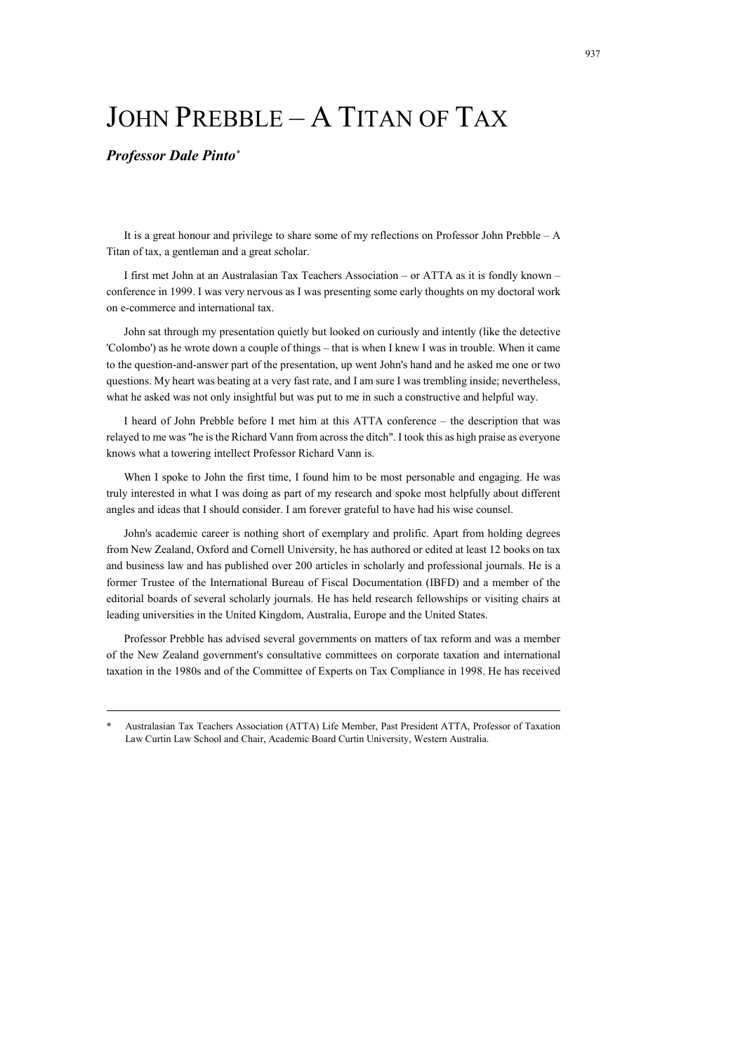## JOHN PREBBLE – A TITAN OF TAX

## *Professor Dale Pinto*\*

It is a great honour and privilege to share some of my reflections on Professor John Prebble – A Titan of tax, a gentleman and a great scholar.

I first met John at an Australasian Tax Teachers Association – or ATTA as it is fondly known – conference in 1999. I was very nervous as I was presenting some early thoughts on my doctoral work on e-commerce and international tax.

John sat through my presentation quietly but looked on curiously and intently (like the detective 'Colombo') as he wrote down a couple of things – that is when I knew I was in trouble. When it came to the question-and-answer part of the presentation, up went John's hand and he asked me one or two questions. My heart was beating at a very fast rate, and I am sure I was trembling inside; nevertheless, what he asked was not only insightful but was put to me in such a constructive and helpful way.

I heard of John Prebble before I met him at this ATTA conference – the description that was relayed to me was "he is the Richard Vann from across the ditch". I took this as high praise as everyone knows what a towering intellect Professor Richard Vann is.

When I spoke to John the first time, I found him to be most personable and engaging. He was truly interested in what I was doing as part of my research and spoke most helpfully about different angles and ideas that I should consider. I am forever grateful to have had his wise counsel.

John's academic career is nothing short of exemplary and prolific. Apart from holding degrees from New Zealand, Oxford and Cornell University, he has authored or edited at least 12 books on tax and business law and has published over 200 articles in scholarly and professional journals. He is a former Trustee of the International Bureau of Fiscal Documentation (IBFD) and a member of the editorial boards of several scholarly journals. He has held research fellowships or visiting chairs at leading universities in the United Kingdom, Australia, Europe and the United States.

Professor Prebble has advised several governments on matters of tax reform and was a member of the New Zealand government's consultative committees on corporate taxation and international taxation in the 1980s and of the Committee of Experts on Tax Compliance in 1998. He has received

<sup>\*</sup> Australasian Tax Teachers Association (ATTA) Life Member, Past President ATTA, Professor of Taxation Law Curtin Law School and Chair, Academic Board Curtin University, Western Australia.